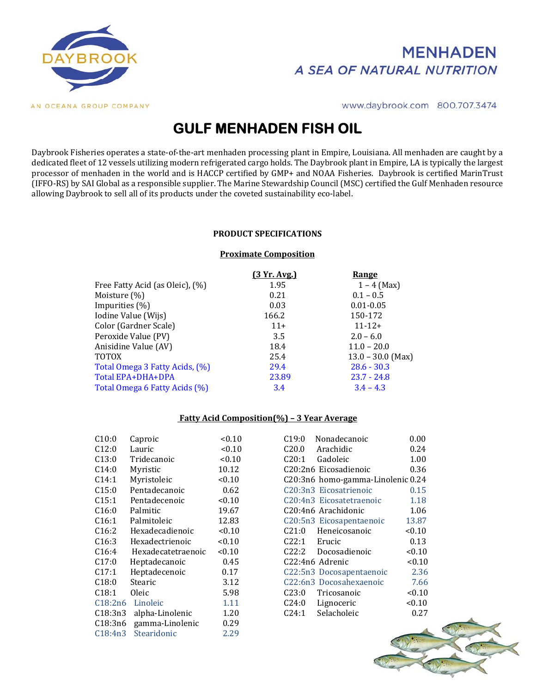

## **MENHADEN** A SEA OF NATURAL NUTRITION

www.daybrook.com 800.707.3474

# **GULF MENHADEN FISH OIL**

Daybrook Fisheries operates a state-of-the-art menhaden processing plant in Empire, Louisiana. All menhaden are caught by a dedicated fleet of 12 vessels utilizing modern refrigerated cargo holds. The Daybrook plant in Empire, LA is typically the largest processor of menhaden in the world and is HACCP certified by GMP+ and NOAA Fisheries. Daybrook is certified MarinTrust (IFFO-RS) by SAI Global as a responsible supplier. The Marine Stewardship Council (MSC) certified the Gulf Menhaden resource allowing Daybrook to sell all of its products under the coveted sustainability eco-label.

#### **PRODUCT SPECIFICATIONS**

#### **Proximate Composition**

|                                 | [3 Yr. Avg.] | Range               |
|---------------------------------|--------------|---------------------|
| Free Fatty Acid (as Oleic), (%) | 1.95         | $1 - 4$ (Max)       |
| Moisture $(\%)$                 | 0.21         | $0.1 - 0.5$         |
| Impurities (%)                  | 0.03         | $0.01 - 0.05$       |
| Iodine Value (Wijs)             | 166.2        | 150-172             |
| Color (Gardner Scale)           | $11+$        | $11 - 12 +$         |
| Peroxide Value (PV)             | 3.5          | $2.0 - 6.0$         |
| Anisidine Value (AV)            | 18.4         | $11.0 - 20.0$       |
| <b>TOTOX</b>                    | 25.4         | $13.0 - 30.0$ (Max) |
| Total Omega 3 Fatty Acids, (%)  | 29.4         | $28.6 - 30.3$       |
| Total EPA+DHA+DPA               | 23.89        | $23.7 - 24.8$       |
| Total Omega 6 Fatty Acids (%)   | 3.4          | $3.4 - 4.3$         |
|                                 |              |                     |

#### **Fatty Acid Composition(%) – 3 Year Average**

| C10:0   | Caproic            | < 0.10 | C19:0<br>Nonadecanoic             | 0.00   |
|---------|--------------------|--------|-----------------------------------|--------|
| C12:0   | Lauric             | < 0.10 | C20.0<br>Arachidic                | 0.24   |
| C13:0   | Tridecanoic        | < 0.10 | C20:1<br>Gadoleic                 | 1.00   |
| C14:0   | Myristic           | 10.12  | C20:2n6 Eicosadienoic             | 0.36   |
| C14:1   | Myristoleic        | < 0.10 | C20:3n6 homo-gamma-Linolenic 0.24 |        |
| C15:0   | Pentadecanoic      | 0.62   | C20:3n3 Eicosatrienoic            | 0.15   |
| C15:1   | Pentadecenoic      | < 0.10 | C20:4n3 Eicosatetraenoic          | 1.18   |
| C16:0   | Palmitic           | 19.67  | C20:4n6 Arachidonic               | 1.06   |
| C16:1   | Palmitoleic        | 12.83  | C20:5n3 Eicosapentaenoic          | 13.87  |
| C16:2   | Hexadecadienoic    | < 0.10 | C21:0<br>Heneicosanoic            | < 0.10 |
| C16:3   | Hexadectrienoic    | < 0.10 | C22:1<br>Erucic                   | 0.13   |
| C16:4   | Hexadecatetraenoic | < 0.10 | C22:2<br>Docosadienoic            | < 0.10 |
| C17:0   | Heptadecanoic      | 0.45   | C22:4n6 Adrenic                   | < 0.10 |
| C17:1   | Heptadecenoic      | 0.17   | C22:5n3 Docosapentaenoic          | 2.36   |
| C18:0   | Stearic            | 3.12   | C22:6n3 Docosahexaenoic           | 7.66   |
| C18:1   | Oleic              | 5.98   | C23:0<br>Tricosanoic              | < 0.10 |
| C18:2n6 | Linoleic           | 1.11   | C24:0<br>Lignoceric               | < 0.10 |
| C18:3n3 | alpha-Linolenic    | 1.20   | C24:1<br>Selacholeic              | 0.27   |
| C18:3n6 | gamma-Linolenic    | 0.29   |                                   |        |
| C18:4n3 | Stearidonic        | 2.29   |                                   |        |
|         |                    |        | <b>GT</b>                         |        |

| Caproic            | < 0.10 | C19:0<br>Nonadecanoic             | 0.00   |
|--------------------|--------|-----------------------------------|--------|
| Lauric             | < 0.10 | C20.0<br>Arachidic                | 0.24   |
| Tridecanoic        | < 0.10 | C20:1<br>Gadoleic                 | 1.00   |
| Myristic           | 10.12  | C20:2n6 Eicosadienoic             | 0.36   |
| Myristoleic        | < 0.10 | C20:3n6 homo-gamma-Linolenic 0.24 |        |
| Pentadecanoic      | 0.62   | C20:3n3 Eicosatrienoic            | 0.15   |
| Pentadecenoic      | < 0.10 | C20:4n3 Eicosatetraenoic          | 1.18   |
| Palmitic           | 19.67  | C20:4n6 Arachidonic               | 1.06   |
| Palmitoleic        | 12.83  | C20:5n3 Eicosapentaenoic          | 13.87  |
| Hexadecadienoic    | < 0.10 | C21:0<br>Heneicosanoic            | < 0.10 |
| Hexadectrienoic    | < 0.10 | C22:1<br>Erucic                   | 0.13   |
| Hexadecatetraenoic | < 0.10 | C22:2<br>Docosadienoic            | < 0.10 |
| Heptadecanoic      | 0.45   | C22:4n6 Adrenic                   | < 0.10 |
| Heptadecenoic      | 0.17   | C22:5n3 Docosapentaenoic          | 2.36   |
| Stearic            | 3.12   | C22:6n3 Docosahexaenoic           | 7.66   |
| Oleic              | 5.98   | C23:0<br>Tricosanoic              | < 0.10 |
| Linoleic           | 1.11   | C24:0<br>Lignoceric               | < 0.10 |
| alpha-Linolenic    | 1.20   | C24:1<br>Selacholeic              | 0.27   |
|                    |        |                                   |        |